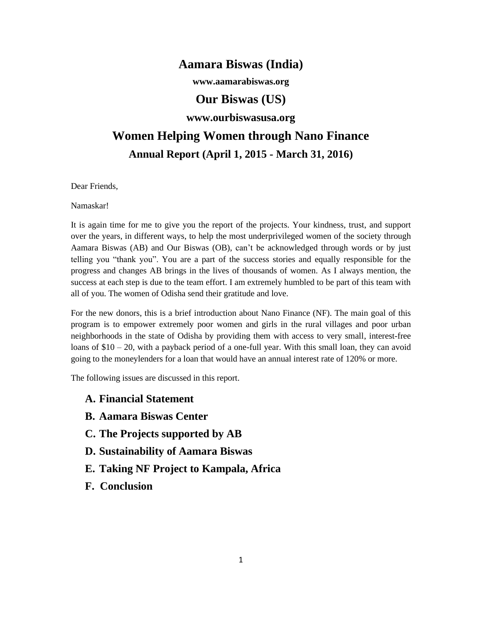## **Aamara Biswas (India)**

**www.aamarabiswas.org**

### **Our Biswas (US)**

### **www.ourbiswasusa.org**

# **Women Helping Women through Nano Finance Annual Report (April 1, 2015 - March 31, 2016)**

Dear Friends,

Namaskar!

It is again time for me to give you the report of the projects. Your kindness, trust, and support over the years, in different ways, to help the most underprivileged women of the society through Aamara Biswas (AB) and Our Biswas (OB), can't be acknowledged through words or by just telling you "thank you". You are a part of the success stories and equally responsible for the progress and changes AB brings in the lives of thousands of women. As I always mention, the success at each step is due to the team effort. I am extremely humbled to be part of this team with all of you. The women of Odisha send their gratitude and love.

For the new donors, this is a brief introduction about Nano Finance (NF). The main goal of this program is to empower extremely poor women and girls in the rural villages and poor urban neighborhoods in the state of Odisha by providing them with access to very small, interest-free loans of  $$10 - 20$ , with a payback period of a one-full year. With this small loan, they can avoid going to the moneylenders for a loan that would have an annual interest rate of 120% or more.

The following issues are discussed in this report.

- **A. Financial Statement**
- **B. Aamara Biswas Center**
- **C. The Projects supported by AB**
- **D. Sustainability of Aamara Biswas**
- **E. Taking NF Project to Kampala, Africa**
- **F. Conclusion**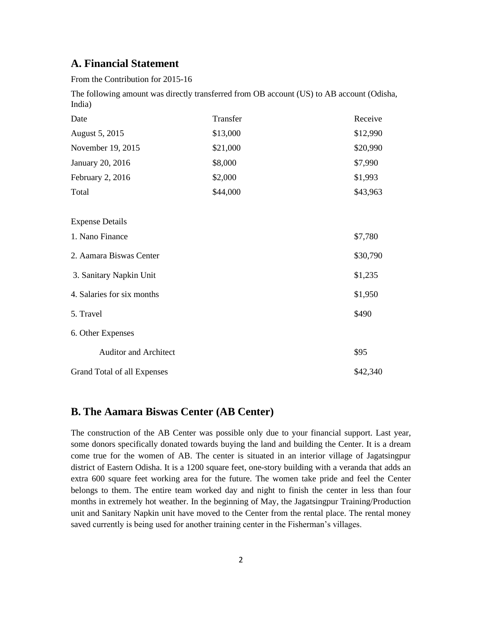### **A. Financial Statement**

From the Contribution for 2015-16

The following amount was directly transferred from OB account (US) to AB account (Odisha, India)

| Date                         | Transfer | Receive  |
|------------------------------|----------|----------|
| August 5, 2015               | \$13,000 | \$12,990 |
| November 19, 2015            | \$21,000 | \$20,990 |
| January 20, 2016             | \$8,000  | \$7,990  |
| February 2, 2016             | \$2,000  | \$1,993  |
| Total                        | \$44,000 | \$43,963 |
| <b>Expense Details</b>       |          |          |
| 1. Nano Finance              |          | \$7,780  |
| 2. Aamara Biswas Center      |          | \$30,790 |
| 3. Sanitary Napkin Unit      |          | \$1,235  |
| 4. Salaries for six months   |          | \$1,950  |
| 5. Travel                    |          | \$490    |
| 6. Other Expenses            |          |          |
| <b>Auditor and Architect</b> |          | \$95     |
| Grand Total of all Expenses  |          | \$42,340 |

### **B. The Aamara Biswas Center (AB Center)**

The construction of the AB Center was possible only due to your financial support. Last year, some donors specifically donated towards buying the land and building the Center. It is a dream come true for the women of AB. The center is situated in an interior village of Jagatsingpur district of Eastern Odisha. It is a 1200 square feet, one-story building with a veranda that adds an extra 600 square feet working area for the future. The women take pride and feel the Center belongs to them. The entire team worked day and night to finish the center in less than four months in extremely hot weather. In the beginning of May, the Jagatsingpur Training/Production unit and Sanitary Napkin unit have moved to the Center from the rental place. The rental money saved currently is being used for another training center in the Fisherman's villages.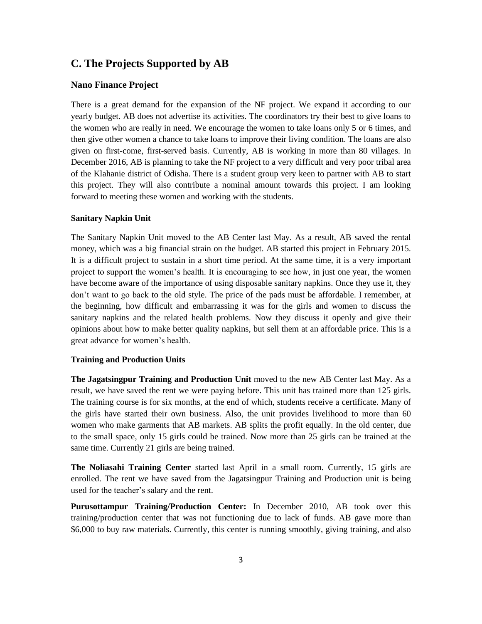### **C. The Projects Supported by AB**

#### **Nano Finance Project**

There is a great demand for the expansion of the NF project. We expand it according to our yearly budget. AB does not advertise its activities. The coordinators try their best to give loans to the women who are really in need. We encourage the women to take loans only 5 or 6 times, and then give other women a chance to take loans to improve their living condition. The loans are also given on first-come, first-served basis. Currently, AB is working in more than 80 villages. In December 2016, AB is planning to take the NF project to a very difficult and very poor tribal area of the Klahanie district of Odisha. There is a student group very keen to partner with AB to start this project. They will also contribute a nominal amount towards this project. I am looking forward to meeting these women and working with the students.

#### **Sanitary Napkin Unit**

The Sanitary Napkin Unit moved to the AB Center last May. As a result, AB saved the rental money, which was a big financial strain on the budget. AB started this project in February 2015. It is a difficult project to sustain in a short time period. At the same time, it is a very important project to support the women's health. It is encouraging to see how, in just one year, the women have become aware of the importance of using disposable sanitary napkins. Once they use it, they don't want to go back to the old style. The price of the pads must be affordable. I remember, at the beginning, how difficult and embarrassing it was for the girls and women to discuss the sanitary napkins and the related health problems. Now they discuss it openly and give their opinions about how to make better quality napkins, but sell them at an affordable price. This is a great advance for women's health.

#### **Training and Production Units**

**The Jagatsingpur Training and Production Unit** moved to the new AB Center last May. As a result, we have saved the rent we were paying before. This unit has trained more than 125 girls. The training course is for six months, at the end of which, students receive a certificate. Many of the girls have started their own business. Also, the unit provides livelihood to more than 60 women who make garments that AB markets. AB splits the profit equally. In the old center, due to the small space, only 15 girls could be trained. Now more than 25 girls can be trained at the same time. Currently 21 girls are being trained.

**The Noliasahi Training Center** started last April in a small room. Currently, 15 girls are enrolled. The rent we have saved from the Jagatsingpur Training and Production unit is being used for the teacher's salary and the rent.

**Purusottampur Training/Production Center:** In December 2010, AB took over this training/production center that was not functioning due to lack of funds. AB gave more than \$6,000 to buy raw materials. Currently, this center is running smoothly, giving training, and also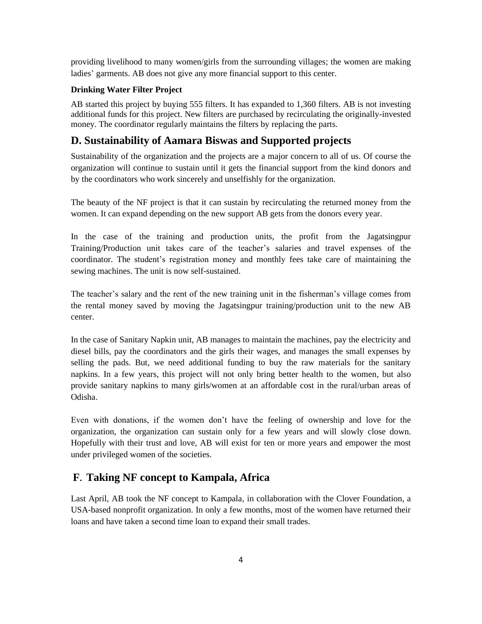providing livelihood to many women/girls from the surrounding villages; the women are making ladies' garments. AB does not give any more financial support to this center.

#### **Drinking Water Filter Project**

AB started this project by buying 555 filters. It has expanded to 1,360 filters. AB is not investing additional funds for this project. New filters are purchased by recirculating the originally-invested money. The coordinator regularly maintains the filters by replacing the parts.

### **D. Sustainability of Aamara Biswas and Supported projects**

Sustainability of the organization and the projects are a major concern to all of us. Of course the organization will continue to sustain until it gets the financial support from the kind donors and by the coordinators who work sincerely and unselfishly for the organization.

The beauty of the NF project is that it can sustain by recirculating the returned money from the women. It can expand depending on the new support AB gets from the donors every year.

In the case of the training and production units, the profit from the Jagatsingpur Training/Production unit takes care of the teacher's salaries and travel expenses of the coordinator. The student's registration money and monthly fees take care of maintaining the sewing machines. The unit is now self-sustained.

The teacher's salary and the rent of the new training unit in the fisherman's village comes from the rental money saved by moving the Jagatsingpur training/production unit to the new AB center.

In the case of Sanitary Napkin unit, AB manages to maintain the machines, pay the electricity and diesel bills, pay the coordinators and the girls their wages, and manages the small expenses by selling the pads. But, we need additional funding to buy the raw materials for the sanitary napkins. In a few years, this project will not only bring better health to the women, but also provide sanitary napkins to many girls/women at an affordable cost in the rural/urban areas of Odisha.

Even with donations, if the women don't have the feeling of ownership and love for the organization, the organization can sustain only for a few years and will slowly close down. Hopefully with their trust and love, AB will exist for ten or more years and empower the most under privileged women of the societies.

### **F. Taking NF concept to Kampala, Africa**

Last April, AB took the NF concept to Kampala, in collaboration with the Clover Foundation, a USA-based nonprofit organization. In only a few months, most of the women have returned their loans and have taken a second time loan to expand their small trades.